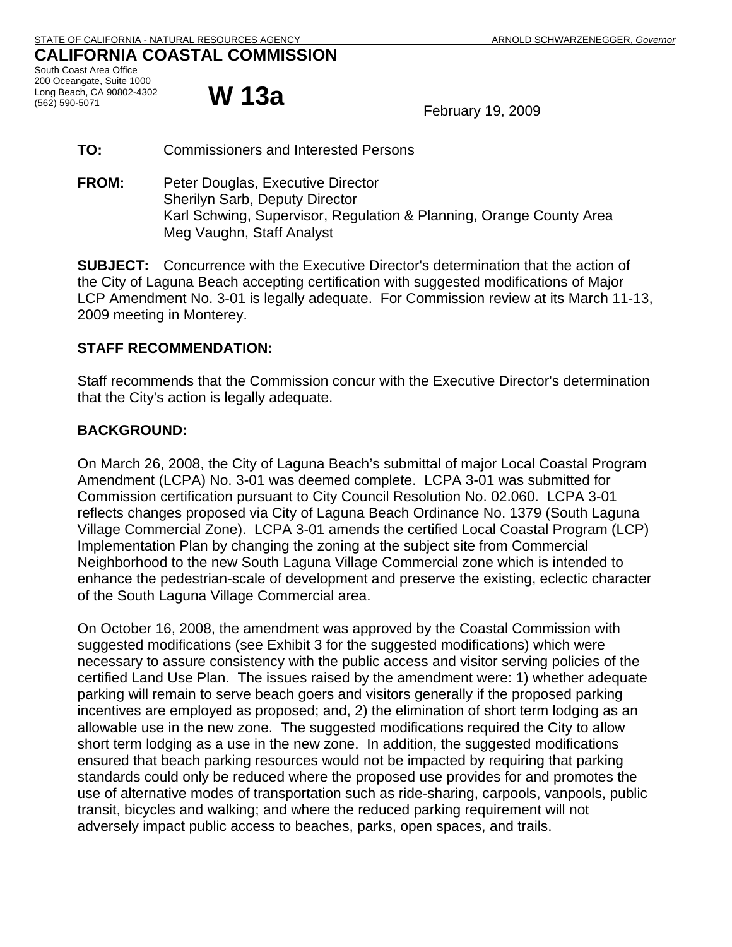# **CALIFORNIA COASTAL COMMISSION**  South Coast Area Office 200 Oceangate, Suite 1000 Long Beach, CA 90802-4302<br>(562) 590-5071

February 19, 2009

- **TO:** Commissioners and Interested Persons
- **FROM:** Peter Douglas, Executive Director Sherilyn Sarb, Deputy Director Karl Schwing, Supervisor, Regulation & Planning, Orange County Area Meg Vaughn, Staff Analyst

**SUBJECT:** Concurrence with the Executive Director's determination that the action of the City of Laguna Beach accepting certification with suggested modifications of Major LCP Amendment No. 3-01 is legally adequate. For Commission review at its March 11-13, 2009 meeting in Monterey.

# **STAFF RECOMMENDATION:**

Staff recommends that the Commission concur with the Executive Director's determination that the City's action is legally adequate.

# **BACKGROUND:**

On March 26, 2008, the City of Laguna Beach's submittal of major Local Coastal Program Amendment (LCPA) No. 3-01 was deemed complete. LCPA 3-01 was submitted for Commission certification pursuant to City Council Resolution No. 02.060. LCPA 3-01 reflects changes proposed via City of Laguna Beach Ordinance No. 1379 (South Laguna Village Commercial Zone). LCPA 3-01 amends the certified Local Coastal Program (LCP) Implementation Plan by changing the zoning at the subject site from Commercial Neighborhood to the new South Laguna Village Commercial zone which is intended to enhance the pedestrian-scale of development and preserve the existing, eclectic character of the South Laguna Village Commercial area.

On October 16, 2008, the amendment was approved by the Coastal Commission with suggested modifications (see Exhibit 3 for the suggested modifications) which were necessary to assure consistency with the public access and visitor serving policies of the certified Land Use Plan. The issues raised by the amendment were: 1) whether adequate parking will remain to serve beach goers and visitors generally if the proposed parking incentives are employed as proposed; and, 2) the elimination of short term lodging as an allowable use in the new zone. The suggested modifications required the City to allow short term lodging as a use in the new zone. In addition, the suggested modifications ensured that beach parking resources would not be impacted by requiring that parking standards could only be reduced where the proposed use provides for and promotes the use of alternative modes of transportation such as ride-sharing, carpools, vanpools, public transit, bicycles and walking; and where the reduced parking requirement will not adversely impact public access to beaches, parks, open spaces, and trails.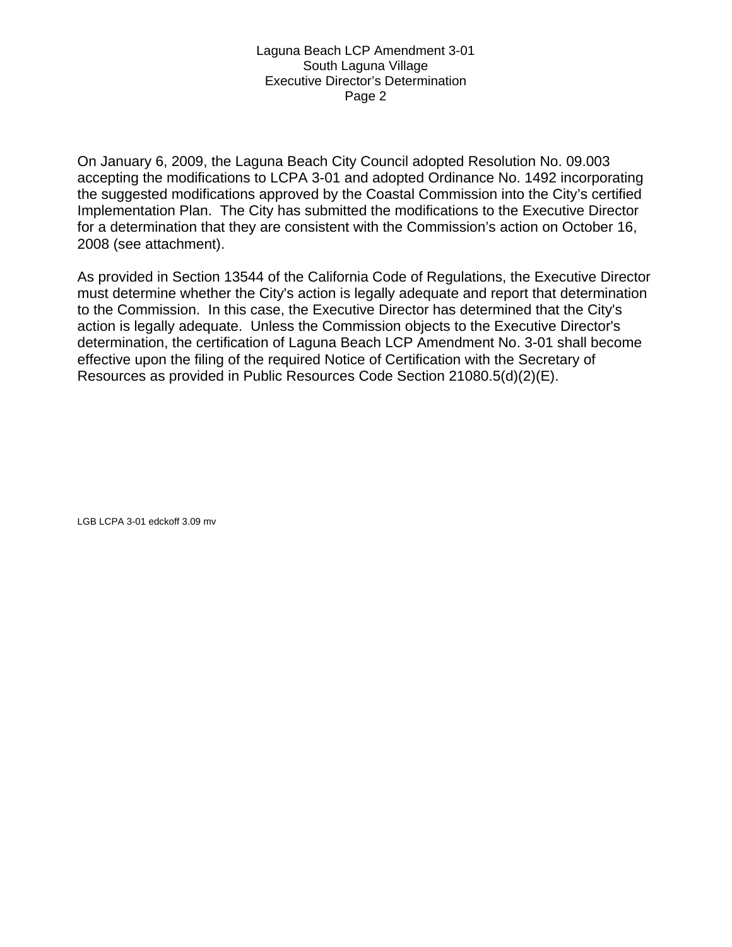On January 6, 2009, the Laguna Beach City Council adopted Resolution No. 09.003 accepting the modifications to LCPA 3-01 and adopted Ordinance No. 1492 incorporating the suggested modifications approved by the Coastal Commission into the City's certified Implementation Plan. The City has submitted the modifications to the Executive Director for a determination that they are consistent with the Commission's action on October 16, 2008 (see attachment).

As provided in Section 13544 of the California Code of Regulations, the Executive Director must determine whether the City's action is legally adequate and report that determination to the Commission. In this case, the Executive Director has determined that the City's action is legally adequate. Unless the Commission objects to the Executive Director's determination, the certification of Laguna Beach LCP Amendment No. 3-01 shall become effective upon the filing of the required Notice of Certification with the Secretary of Resources as provided in Public Resources Code Section 21080.5(d)(2)(E).

LGB LCPA 3-01 edckoff 3.09 mv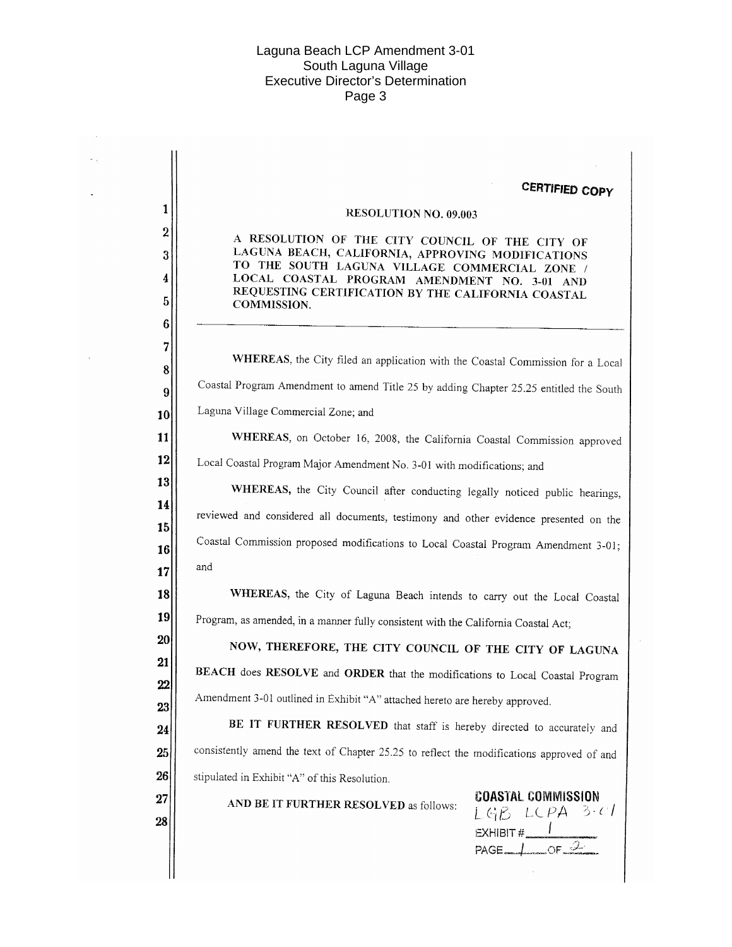$\sim$  $\omega_{\rm eff}$ 

 $\mathbb{Z}^2$ 

 $\bar{\bar{z}}$ 

|                                                                                           | <b>CERTIFIED COPY</b>                                                                                                                                                                                                                                                      |
|-------------------------------------------------------------------------------------------|----------------------------------------------------------------------------------------------------------------------------------------------------------------------------------------------------------------------------------------------------------------------------|
|                                                                                           | <b>RESOLUTION NO. 09.003</b>                                                                                                                                                                                                                                               |
|                                                                                           | A RESOLUTION OF THE CITY COUNCIL OF THE CITY OF<br>LAGUNA BEACH, CALIFORNIA, APPROVING MODIFICATIONS<br>TO THE SOUTH LAGUNA VILLAGE COMMERCIAL ZONE /<br>LOCAL COASTAL PROGRAM AMENDMENT NO. 3-01 AND<br>REQUESTING CERTIFICATION BY THE CALIFORNIA COASTAL<br>COMMISSION. |
|                                                                                           | WHEREAS, the City filed an application with the Coastal Commission for a Local                                                                                                                                                                                             |
|                                                                                           | Coastal Program Amendment to amend Title 25 by adding Chapter 25.25 entitled the South                                                                                                                                                                                     |
|                                                                                           | Laguna Village Commercial Zone; and                                                                                                                                                                                                                                        |
|                                                                                           | WHEREAS, on October 16, 2008, the California Coastal Commission approved                                                                                                                                                                                                   |
|                                                                                           | Local Coastal Program Major Amendment No. 3-01 with modifications; and                                                                                                                                                                                                     |
|                                                                                           | WHEREAS, the City Council after conducting legally noticed public hearings,                                                                                                                                                                                                |
|                                                                                           | reviewed and considered all documents, testimony and other evidence presented on the                                                                                                                                                                                       |
|                                                                                           | Coastal Commission proposed modifications to Local Coastal Program Amendment 3-01;                                                                                                                                                                                         |
|                                                                                           | and                                                                                                                                                                                                                                                                        |
|                                                                                           | WHEREAS, the City of Laguna Beach intends to carry out the Local Coastal                                                                                                                                                                                                   |
|                                                                                           | Program, as amended, in a manner fully consistent with the California Coastal Act;                                                                                                                                                                                         |
|                                                                                           | NOW, THEREFORE, THE CITY COUNCIL OF THE CITY OF LAGUNA                                                                                                                                                                                                                     |
| BEACH does RESOLVE and ORDER that the modifications to Local Coastal Program              |                                                                                                                                                                                                                                                                            |
|                                                                                           | Amendment 3-01 outlined in Exhibit "A" attached hereto are hereby approved.                                                                                                                                                                                                |
| BE IT FURTHER RESOLVED that staff is hereby directed to accurately and                    |                                                                                                                                                                                                                                                                            |
| consistently amend the text of Chapter 25.25 to reflect the modifications approved of and |                                                                                                                                                                                                                                                                            |
|                                                                                           | stipulated in Exhibit "A" of this Resolution.                                                                                                                                                                                                                              |
|                                                                                           | <b>COASTAL COMMISSION</b><br>AND BE IT FURTHER RESOLVED as follows:<br>$L G \beta L C P A 3 \cdot c T$<br>EXHIBIT # $\frac{1}{P A G E \cdot L \cdot C F}$                                                                                                                  |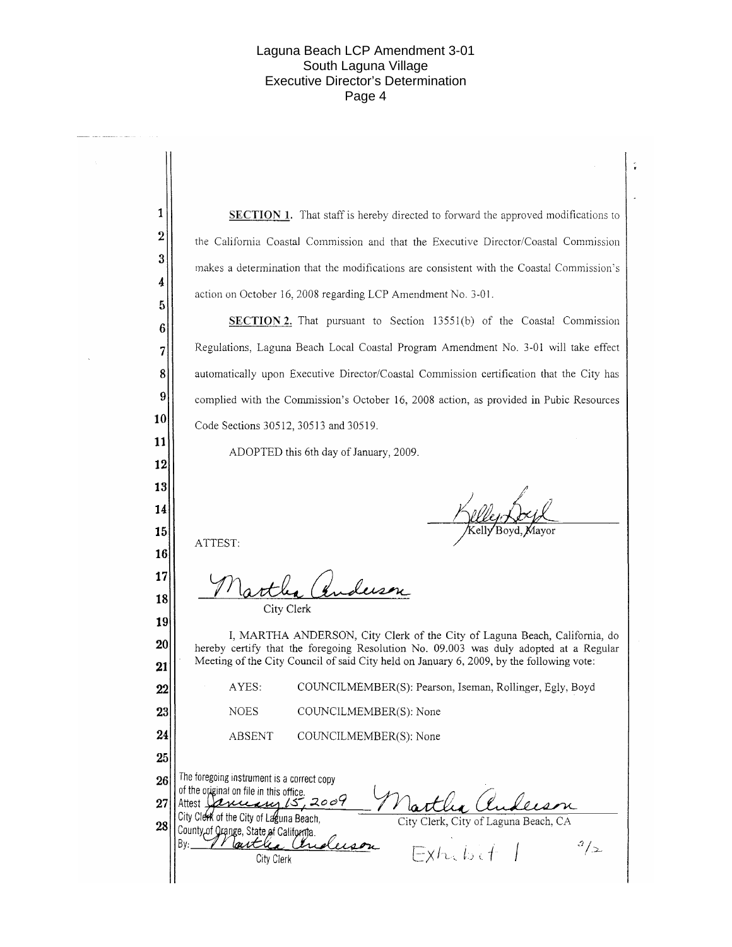$\hat{\mathbf{v}}$ 

| 1               | <b>SECTION 1.</b> That staff is hereby directed to forward the approved modifications to                                                                                          |  |  |  |
|-----------------|-----------------------------------------------------------------------------------------------------------------------------------------------------------------------------------|--|--|--|
| $\overline{2}$  | the California Coastal Commission and that the Executive Director/Coastal Commission                                                                                              |  |  |  |
| 3               | makes a determination that the modifications are consistent with the Coastal Commission's                                                                                         |  |  |  |
| 4<br>5          | action on October 16, 2008 regarding LCP Amendment No. 3-01.                                                                                                                      |  |  |  |
| 6               | <b>SECTION 2.</b> That pursuant to Section 13551(b) of the Coastal Commission                                                                                                     |  |  |  |
| 7               | Regulations, Laguna Beach Local Coastal Program Amendment No. 3-01 will take effect                                                                                               |  |  |  |
| 8               | automatically upon Executive Director/Coastal Commission certification that the City has                                                                                          |  |  |  |
| 9               | complied with the Commission's October 16, 2008 action, as provided in Pubic Resources                                                                                            |  |  |  |
| 10              | Code Sections 30512, 30513 and 30519.                                                                                                                                             |  |  |  |
| 11              | ADOPTED this 6th day of January, 2009.                                                                                                                                            |  |  |  |
| 12<br>13        |                                                                                                                                                                                   |  |  |  |
| 14              |                                                                                                                                                                                   |  |  |  |
| 15              |                                                                                                                                                                                   |  |  |  |
| 16              | ATTEST:                                                                                                                                                                           |  |  |  |
| 17              | 1. duson                                                                                                                                                                          |  |  |  |
| 18              | City Clerk                                                                                                                                                                        |  |  |  |
| 19              | I, MARTHA ANDERSON, City Clerk of the City of Laguna Beach, California, do                                                                                                        |  |  |  |
| 20<br>$\bf{21}$ | hereby certify that the foregoing Resolution No. 09.003 was duly adopted at a Regular<br>Meeting of the City Council of said City held on January 6, 2009, by the following vote: |  |  |  |
| 22              | AYES:<br>COUNCILMEMBER(S): Pearson, Iseman, Rollinger, Egly, Boyd                                                                                                                 |  |  |  |
| 23              | <b>NOES</b><br>COUNCILMEMBER(S): None                                                                                                                                             |  |  |  |
| 24              | ABSENT<br>COUNCILMEMBER(S): None                                                                                                                                                  |  |  |  |
| 25              |                                                                                                                                                                                   |  |  |  |
| 26              | The foregoing instrument is a correct copy<br>of the original on file in this office.                                                                                             |  |  |  |
| 27              | Attest January 15,2009<br>City Clerk of the City of Laguna Beach,<br>City Clerk, City of Laguna Beach, CA                                                                         |  |  |  |
| 28              | County of Qrange, State of California.<br>By:_<br>l autri<br>$\frac{3}{2}$                                                                                                        |  |  |  |
|                 | $Exh.$ $b.$ $f$ $f$<br>City Clerk                                                                                                                                                 |  |  |  |
|                 |                                                                                                                                                                                   |  |  |  |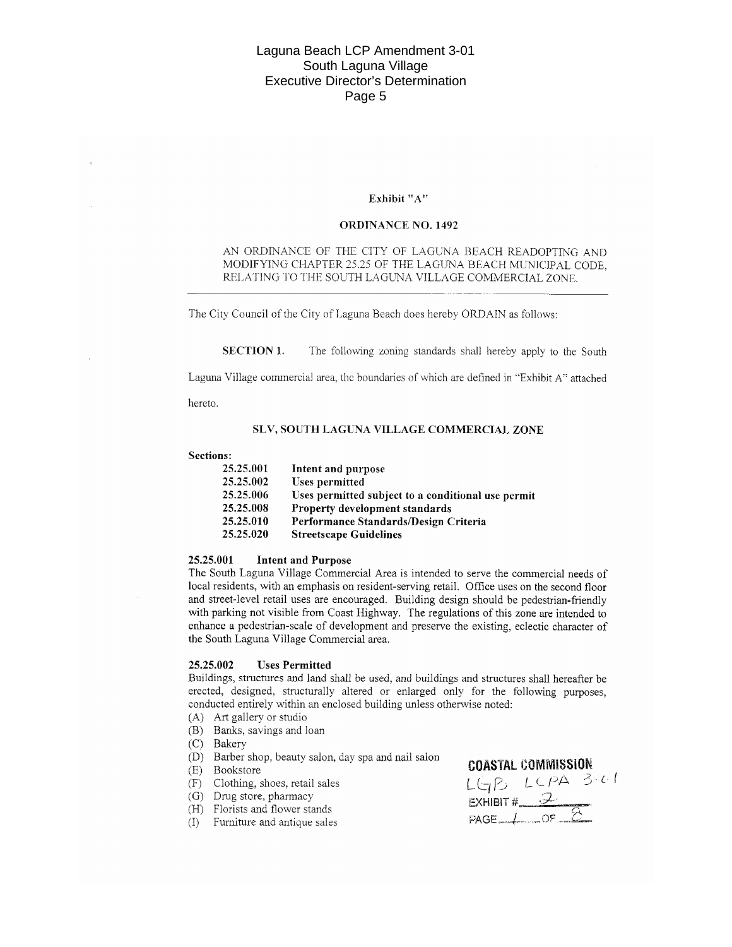#### Exhibit "A"

#### **ORDINANCE NO. 1492**

### AN ORDINANCE OF THE CITY OF LAGUNA BEACH READOPTING AND MODIFYING CHAPTER 25.25 OF THE LAGUNA BEACH MUNICIPAL CODE, RELATING TO THE SOUTH LAGUNA VILLAGE COMMERCIAL ZONE.

The City Council of the City of Laguna Beach does hereby ORDAIN as follows:

**SECTION 1.** The following zoning standards shall hereby apply to the South

Laguna Village commercial area, the boundaries of which are defined in "Exhibit A" attached

hereto.

#### SLV, SOUTH LAGUNA VILLAGE COMMERCIAL ZONE

#### **Sections:**

| 25.25.001 | Intent and purpose                                 |
|-----------|----------------------------------------------------|
| 25.25.002 | Uses permitted                                     |
| 25.25.006 | Uses permitted subject to a conditional use permit |
| 25.25.008 | Property development standards                     |
| 25.25.010 | Performance Standards/Design Criteria              |
| 25.25.020 | <b>Streetscape Guidelines</b>                      |

#### 25.25.001 **Intent and Purpose**

The South Laguna Village Commercial Area is intended to serve the commercial needs of local residents, with an emphasis on resident-serving retail. Office uses on the second floor and street-level retail uses are encouraged. Building design should be pedestrian-friendly with parking not visible from Coast Highway. The regulations of this zone are intended to enhance a pedestrian-scale of development and preserve the existing, eclectic character of the South Laguna Village Commercial area.

#### 25.25.002 **Uses Permitted**

Buildings, structures and land shall be used, and buildings and structures shall hereafter be erected, designed, structurally altered or enlarged only for the following purposes, conducted entirely within an enclosed building unless otherwise noted:

- (A) Art gallery or studio
- (B) Banks, savings and loan
- (C) Bakery
- (D) Barber shop, beauty salon, day spa and nail salon
- (E) Bookstore
- (F) Clothing, shoes, retail sales
- (G) Drug store, pharmacy
- (H) Florists and flower stands
- (I) Furniture and antique sales

### **COASTAL COMMISSION**

 $LGPB$   $LCPA$  3.01  $L(T)$ <br>EXHIBIT #  $\frac{2}{\sqrt{5}}$ PAGE / OF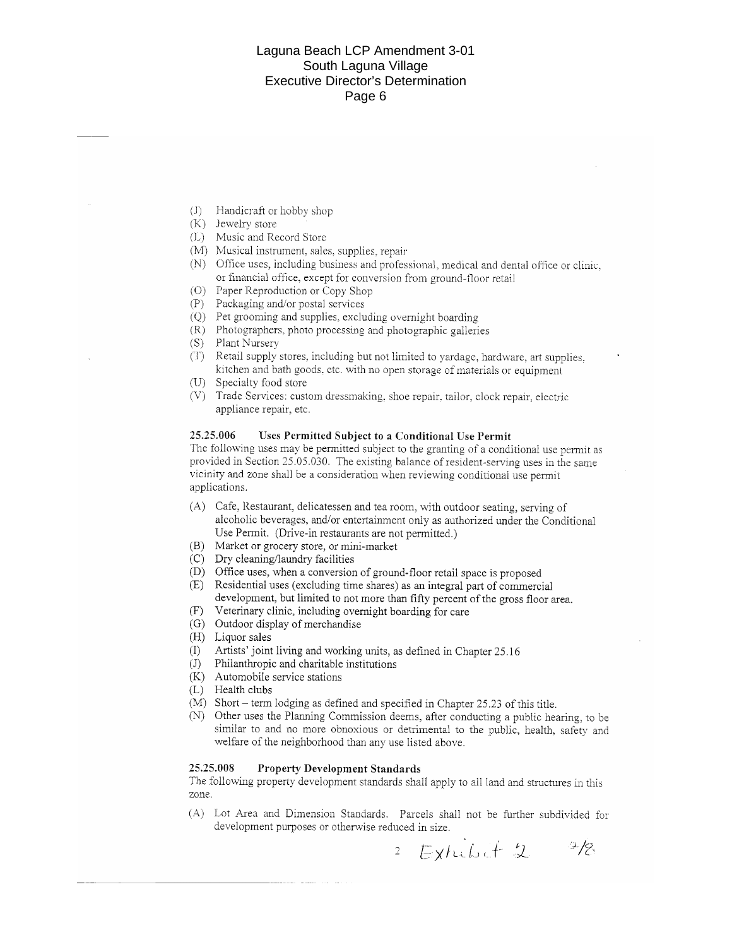- (J) Handicraft or hobby shop
- (K) Jewelry store
- (L) Music and Record Store
- (M) Musical instrument, sales, supplies, repair
- (N) Office uses, including business and professional, medical and dental office or clinic, or financial office, except for conversion from ground-floor retail
- (O) Paper Reproduction or Copy Shop
- (P) Packaging and/or postal services
- (Q) Pet grooming and supplies, excluding overnight boarding
- (R) Photographers, photo processing and photographic galleries
- (S) Plant Nursery
- (T) Retail supply stores, including but not limited to yardage, hardware, art supplies. kitchen and bath goods, etc. with no open storage of materials or equipment
- (U) Specialty food store
- (V) Trade Services: custom dressmaking, shoe repair, tailor, clock repair, electric appliance repair, etc.

#### 25.25.006 Uses Permitted Subject to a Conditional Use Permit

The following uses may be permitted subject to the granting of a conditional use permit as provided in Section 25.05.030. The existing balance of resident-serving uses in the same vicinity and zone shall be a consideration when reviewing conditional use permit applications.

- (A) Cafe, Restaurant, delicatessen and tea room, with outdoor seating, serving of alcoholic beverages, and/or entertainment only as authorized under the Conditional Use Permit. (Drive-in restaurants are not permitted.)
- (B) Market or grocery store, or mini-market
- (C) Dry cleaning/laundry facilities
- (D) Office uses, when a conversion of ground-floor retail space is proposed
- (E) Residential uses (excluding time shares) as an integral part of commercial development, but limited to not more than fifty percent of the gross floor area.
- (F) Veterinary clinic, including overnight boarding for care
- (G) Outdoor display of merchandise
- (H) Liquor sales
- $(I)$ Artists' joint living and working units, as defined in Chapter 25.16
- $(J)$ Philanthropic and charitable institutions
- (K) Automobile service stations
- (L) Health clubs
- (M) Short term lodging as defined and specified in Chapter 25.23 of this title.
- (N) Other uses the Planning Commission deems, after conducting a public hearing, to be similar to and no more obnoxious or detrimental to the public, health, safety and welfare of the neighborhood than any use listed above.

#### 25.25.008 **Property Development Standards**

The following property development standards shall apply to all land and structures in this zone.

(A) Lot Area and Dimension Standards. Parcels shall not be further subdivided for development purposes or otherwise reduced in size.

Exterbit 2 D/7.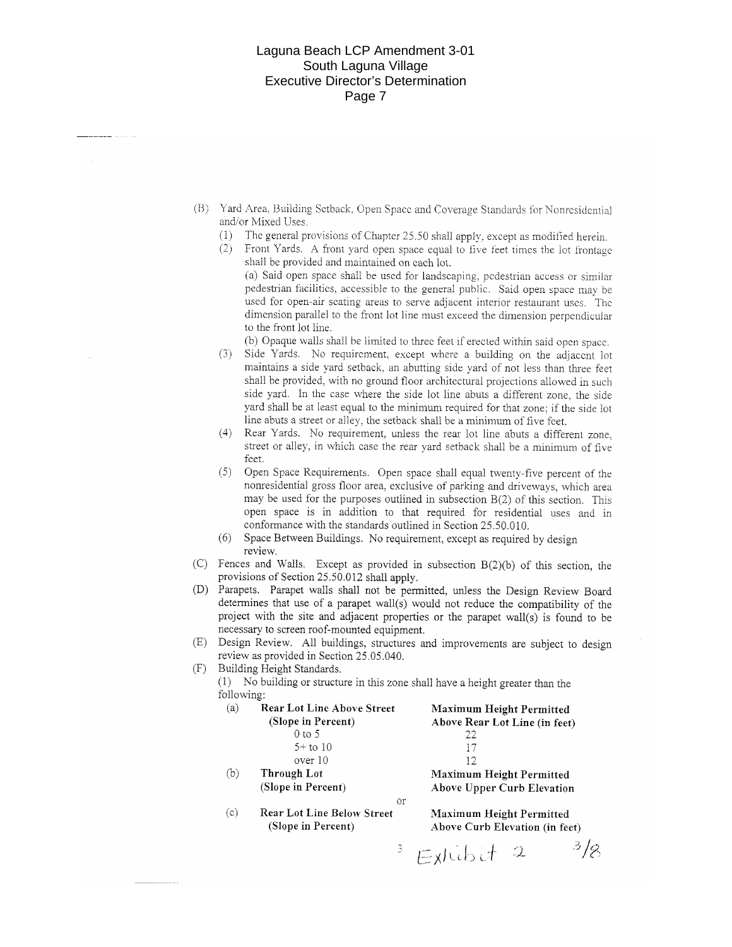- (B) Yard Area, Building Setback, Open Space and Coverage Standards for Nonresidential and/or Mixed Uses.
	- (1) The general provisions of Chapter 25.50 shall apply, except as modified herein.
	- (2) Front Yards. A front yard open space equal to five feet times the lot frontage shall be provided and maintained on each lot.

(a) Said open space shall be used for landscaping, pedestrian access or similar pedestrian facilities, accessible to the general public. Said open space may be used for open-air scating areas to serve adjacent interior restaurant uses. The dimension parallel to the front lot line must exceed the dimension perpendicular to the front lot line.

(b) Opaque walls shall be limited to three feet if erected within said open space.

- (3) Side Yards. No requirement, except where a building on the adjacent lot maintains a side yard setback, an abutting side yard of not less than three feet shall be provided, with no ground floor architectural projections allowed in such side yard. In the case where the side lot line abuts a different zone, the side yard shall be at least equal to the minimum required for that zone; if the side lot line abuts a street or alley, the setback shall be a minimum of five fcet.
- (4) Rear Yards. No requirement, unless the rear lot line abuts a different zone, street or alley, in which case the rear yard setback shall be a minimum of five feet.
- (5) Open Space Requirements. Open space shall equal twenty-five percent of the nonresidential gross floor area, exclusive of parking and driveways, which area may be used for the purposes outlined in subsection  $B(2)$  of this section. This open space is in addition to that required for residential uses and in conformance with the standards outlined in Section 25.50.010.
- (6) Space Between Buildings. No requirement, except as required by design review.
- (C) Fences and Walls. Except as provided in subsection B(2)(b) of this section, the provisions of Section 25.50.012 shall apply.
- (D) Parapets. Parapet walls shall not be permitted, unless the Design Review Board determines that use of a parapet wall(s) would not reduce the compatibility of the project with the site and adjacent properties or the parapet wall(s) is found to be necessary to screen roof-mounted equipment.
- (E) Design Review. All buildings, structures and improvements are subject to design review as provided in Section 25.05.040.

(F) Building Height Standards.

(1) No building or structure in this zone shall have a height greater than the following:

| (a) | <b>Rear Lot Line Above Street</b> | Maximum Height Permitted      |
|-----|-----------------------------------|-------------------------------|
|     | (Slope in Percent)                | Above Rear Lot Line (in feet) |
|     | $0$ to 5                          | 22                            |
|     | $5+$ to 10                        |                               |
|     | over 10                           | 12                            |
| (b) | Through Lot                       | Maximum Height Permitted      |
|     | (Slope in Percent)                | Above Upper Curb Elevation    |
|     | Οr                                |                               |
| (c  | Rear Lot Line Below Street        | Maximum Height Permitted      |

(Slope in Percent)

Above Curb Elevation (in feet)

 $3/2$  $3$  Extribit 2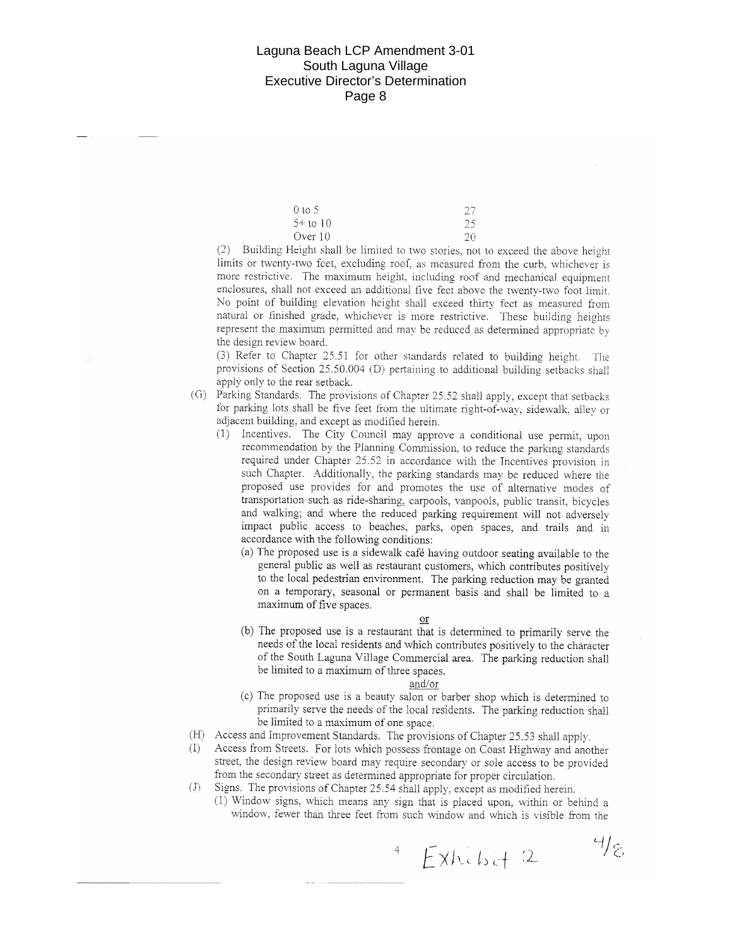| $0 \text{ to } 5$ | 27 |
|-------------------|----|
| $5+$ to 10        | 25 |
| Over 10           | 20 |

(2) Building Height shall be limited to two stories, not to exceed the above height limits or twenty-two feet, excluding roof, as measured from the curb, whichever is more restrictive. The maximum height, including roof and mechanical equipment enclosures, shall not exceed an additional five feet above the twenty-two foot limit. No point of building elevation height shall exceed thirty feet as measured from natural or finished grade, whichever is more restrictive. These building heights represent the maximum permitted and may be reduced as determined appropriate by the design review board.

(3) Refer to Chapter 25.51 for other standards related to building height. The provisions of Section 25.50.004 (D) pertaining to additional building setbacks shall apply only to the rear setback.

- (G) Parking Standards. The provisions of Chapter 25.52 shall apply, except that setbacks for parking lots shall be five feet from the ultimate right-of-way, sidewalk, alley or adjacent building, and except as modified herein.
	- (1) Incentives. The City Council may approve a conditional use permit, upon recommendation by the Planning Commission, to reduce the parking standards required under Chapter 25.52 in accordance with the Incentives provision in such Chapter. Additionally, the parking standards may be reduced where the proposed use provides for and promotes the use of alternative modes of transportation such as ride-sharing, carpools, vanpools, public transit, bicycles and walking; and where the reduced parking requirement will not adversely impact public access to beaches, parks, open spaces, and trails and in accordance with the following conditions:
		- (a) The proposed use is a sidewalk café having outdoor seating available to the general public as well as restaurant customers, which contributes positively to the local pedestrian environment. The parking reduction may be granted on a temporary, seasonal or permanent basis and shall be limited to a maximum of five spaces.
			- or
		- (b) The proposed use is a restaurant that is determined to primarily serve the needs of the local residents and which contributes positively to the character of the South Laguna Village Commercial area. The parking reduction shall be limited to a maximum of three spaces.

#### <u>and/or</u>

- (c) The proposed use is a beauty salon or barber shop which is determined to primarily serve the needs of the local residents. The parking reduction shall be limited to a maximum of one space.
- (H) Access and Improvement Standards. The provisions of Chapter 25.53 shall apply.
- Access from Streets. For lots which possess frontage on Coast Highway and another  $(1)$ street, the design review board may require secondary or sole access to be provided from the secondary street as determined appropriate for proper circulation.
- (J) Signs. The provisions of Chapter 25.54 shall apply, except as modified herein.
	- (1) Window signs, which means any sign that is placed upon, within or behind a window, fewer than three feet from such window and which is visible from the

 $4/\varepsilon$  $EXhckt + 2$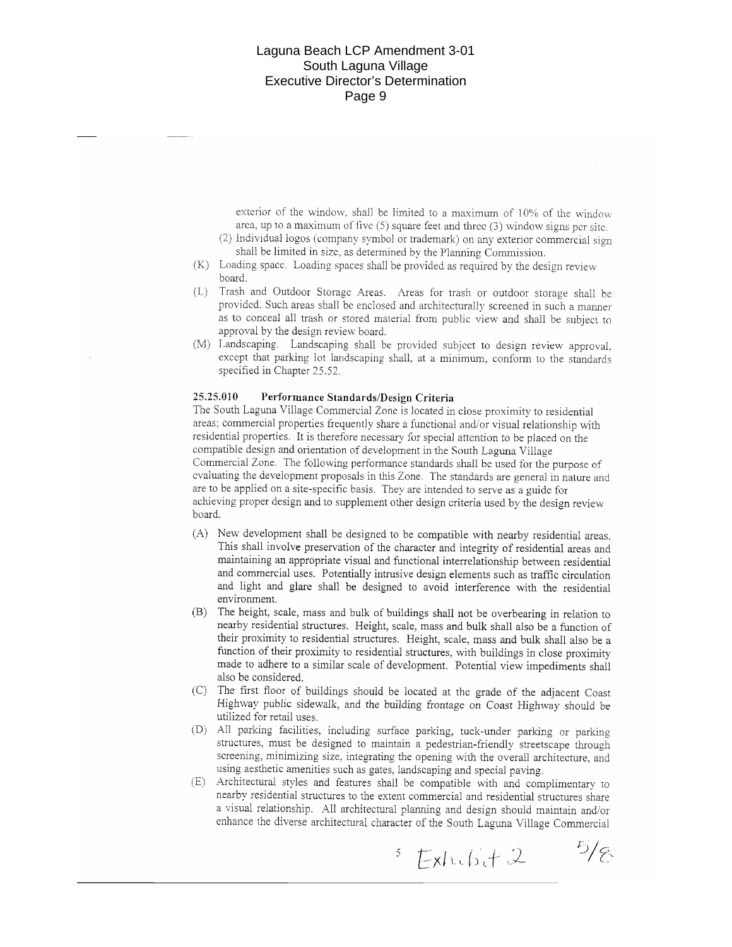exterior of the window, shall be limited to a maximum of 10% of the window area, up to a maximum of five  $(5)$  square feet and three  $(3)$  window signs per site.

- (2) Individual logos (company symbol or trademark) on any exterior commercial sign shall be limited in size, as determined by the Planning Commission.
- (K) Loading space. Loading spaces shall be provided as required by the design review board.
- (L) Trash and Outdoor Storage Areas. Areas for trash or outdoor storage shall be provided. Such areas shall be enclosed and architecturally screened in such a manner as to conceal all trash or stored material from public view and shall be subject to approval by the design review board.
- (M) Landscaping. Landscaping shall be provided subject to design review approval, except that parking lot landscaping shall, at a minimum, conform to the standards specified in Chapter 25.52.

#### 25.25.010 Performance Standards/Design Criteria

The South Laguna Village Commercial Zone is located in close proximity to residential areas; commercial properties frequently share a functional and/or visual relationship with residential properties. It is therefore necessary for special attention to be placed on the compatible design and orientation of development in the South Laguna Village Commercial Zone. The following performance standards shall be used for the purpose of evaluating the development proposals in this Zone. The standards are general in nature and are to be applied on a site-specific basis. They are intended to serve as a guide for achieving proper design and to supplement other design criteria used by the design review board.

- (A) New development shall be designed to be compatible with nearby residential areas. This shall involve preservation of the character and integrity of residential areas and maintaining an appropriate visual and functional interrelationship between residential and commercial uses. Potentially intrusive design elements such as traffic circulation and light and glare shall be designed to avoid interference with the residential environment.
- (B) The height, scale, mass and bulk of buildings shall not be overbearing in relation to nearby residential structures. Height, scale, mass and bulk shall also be a function of their proximity to residential structures. Height, scale, mass and bulk shall also be a function of their proximity to residential structures, with buildings in close proximity made to adhere to a similar scale of development. Potential view impediments shall also be considered.
- (C) The first floor of buildings should be located at the grade of the adjacent Coast Highway public sidewalk, and the building frontage on Coast Highway should be utilized for retail uses.
- (D) All parking facilities, including surface parking, tuck-under parking or parking structures, must be designed to maintain a pedestrian-friendly streetscape through screening, minimizing size, integrating the opening with the overall architecture, and using aesthetic amenities such as gates, landscaping and special paving.
- (E) Architectural styles and features shall be compatible with and complimentary to nearby residential structures to the extent commercial and residential structures share a visual relationship. All architectural planning and design should maintain and/or enhance the diverse architectural character of the South Laguna Village Commercial

 $5/8$  $Exthch+2$  $5<sub>1</sub>$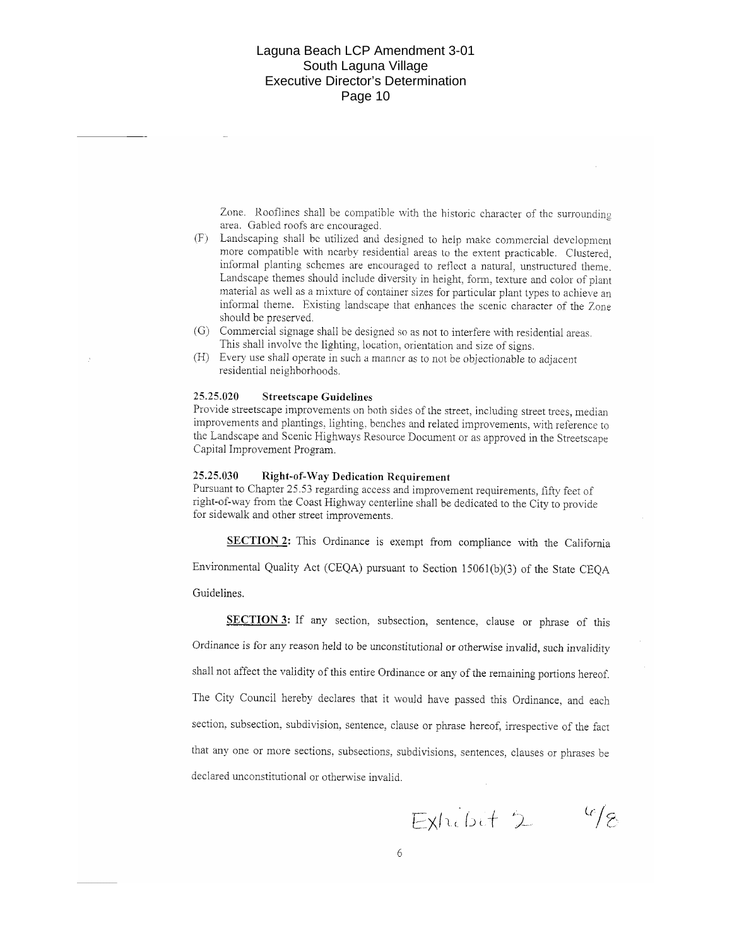Zone. Rooflines shall be compatible with the historic character of the surrounding area. Gabled roofs are encouraged.

- (F) Landscaping shall be utilized and designed to help make commercial development more compatible with nearby residential areas to the extent practicable. Clustered, informal planting schemes are encouraged to reflect a natural, unstructured theme. Landscape themes should include diversity in height, form, texture and color of plant material as well as a mixture of container sizes for particular plant types to achieve an informal theme. Existing landscape that enhances the scenic character of the Zone should be preserved.
- (G) Commercial signage shall be designed so as not to interfere with residential areas. This shall involve the lighting, location, orientation and size of signs.
- (H) Every use shall operate in such a manner as to not be objectionable to adjacent residential neighborhoods.

#### 25.25.020 **Streetscape Guidelines**

Provide streetscape improvements on both sides of the street, including street trees, median improvements and plantings, lighting, benches and related improvements, with reference to the Landscape and Scenic Highways Resource Document or as approved in the Streetscape Capital Improvement Program.

#### 25.25.030 **Right-of-Way Dedication Requirement**

Pursuant to Chapter 25.53 regarding access and improvement requirements, fifty feet of right-of-way from the Coast Highway centerline shall be dedicated to the City to provide for sidewalk and other street improvements.

SECTION 2: This Ordinance is exempt from compliance with the California Environmental Quality Act (CEQA) pursuant to Section 15061(b)(3) of the State CEQA

Guidelines.

SECTION 3: If any section, subsection, sentence, clause or phrase of this Ordinance is for any reason held to be unconstitutional or otherwise invalid, such invalidity shall not affect the validity of this entire Ordinance or any of the remaining portions hereof. The City Council hereby declares that it would have passed this Ordinance, and each section, subsection, subdivision, sentence, clause or phrase hereof, irrespective of the fact that any one or more sections, subsections, subdivisions, sentences, clauses or phrases be declared unconstitutional or otherwise invalid.

 $46/8$ Exhibit 2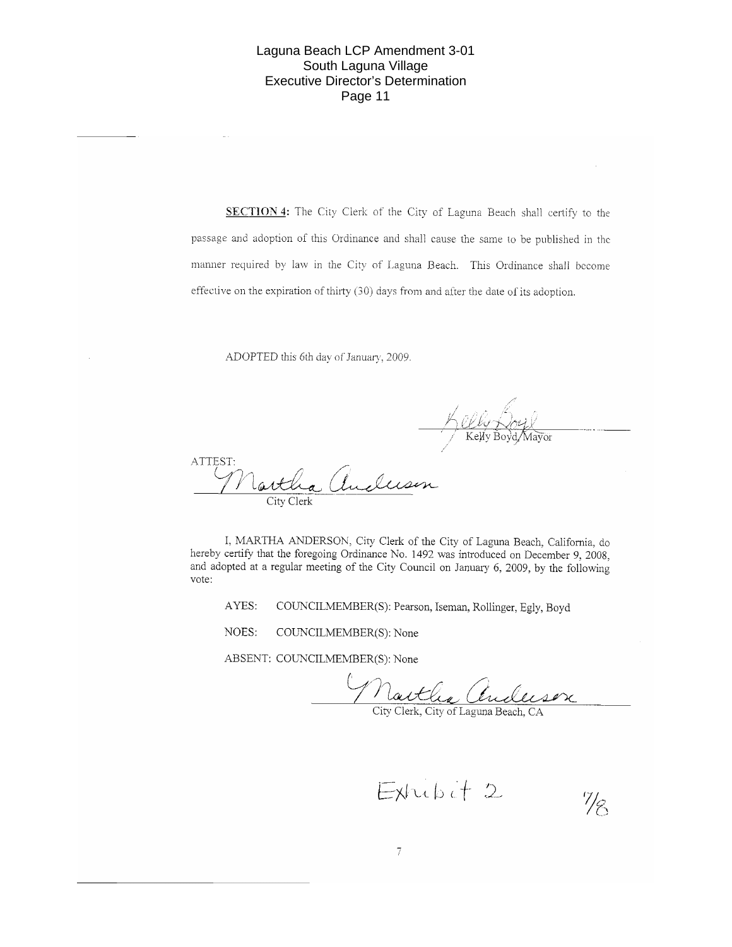SECTION 4: The City Clerk of the City of Laguna Beach shall certify to the passage and adoption of this Ordinance and shall cause the same to be published in the manner required by law in the City of Laguna Beach. This Ordinance shall become effective on the expiration of thirty (30) days from and after the date of its adoption.

ADOPTED this 6th day of January, 2009.

<u>U Ly Nory V</u><br>Kelly Boyd Mayor

1/ε

ATTEST:

I, MARTHA ANDERSON, City Clerk of the City of Laguna Beach, California, do hereby certify that the foregoing Ordinance No. 1492 was introduced on December 9, 2008, and adopted at a regular meeting of the City Council on January 6, 2009, by the following vote:

AYES: COUNCILMEMBER(S): Pearson, Iseman, Rollinger, Egly, Boyd

NOES: COUNCILMEMBER(S): None

ABSENT: COUNCILMEMBER(S): None

Nactle Chileson

Exhibit 2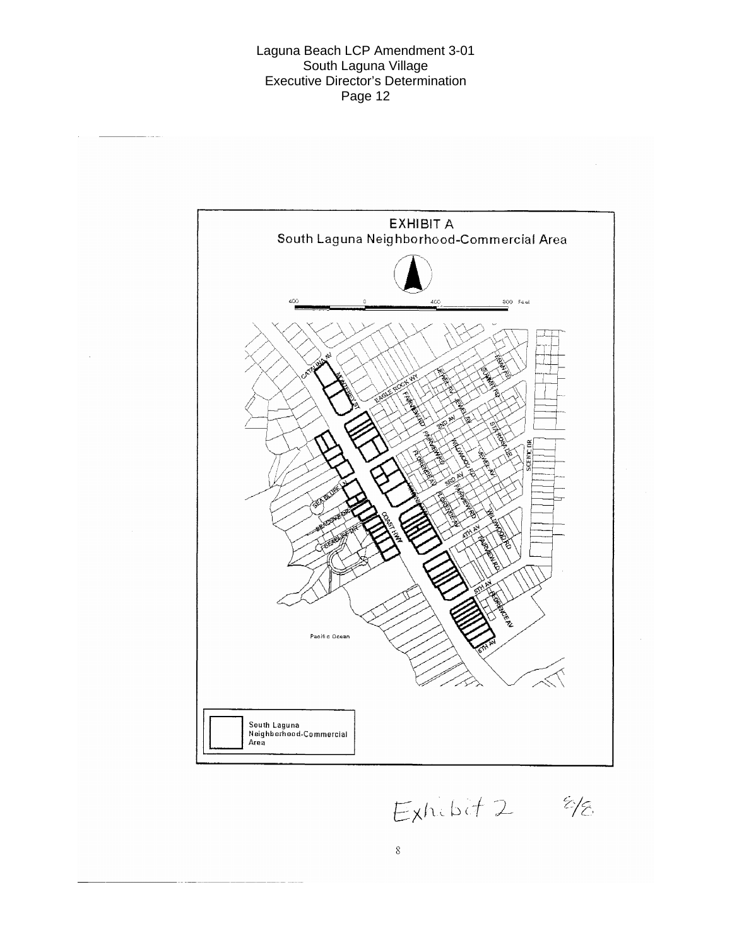

Exhibit 2 8/8